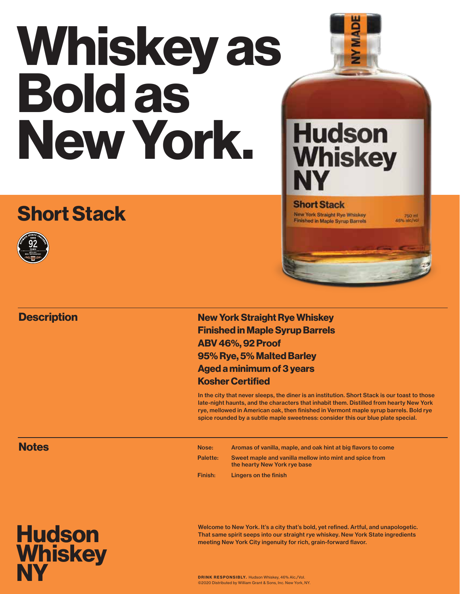# Whiskey as Bold as New York.

## Short Stack



#### **Description**





#### **Short Stack New York Straight Rye Whiskey**

Finished in Maple Syrup Barrels

750 ml<br>46% nlc/vo

New York Straight Rye Whiskey Finished in Maple Syrup Barrels ABV 46%, 92 Proof 95% Rye, 5% Malted Barley Aged a minimum of 3 years Kosher Certified

In the city that never sleeps, the diner is an institution. Short Stack is our toast to those late-night haunts, and the characters that inhabit them. Distilled from hearty New York rye, mellowed in American oak, then finished in Vermont maple syrup barrels. Bold rye spice rounded by a subtle maple sweetness: consider this our blue plate special.

#### **Notes**

Nose: Aromas of vanilla, maple, and oak hint at big flavors to come Palette: Sweet maple and vanilla mellow into mint and spice from the hearty New York rye base Finish: Lingers on the finish

**Hudson Whiskey** NY

Welcome to New York. It's a city that's bold, yet refined. Artful, and unapologetic. That same spirit seeps into our straight rye whiskey. New York State ingredients meeting New York City ingenuity for rich, grain-forward flavor.

DRINK RESPONSIBLY. Hudson Whiskey, 46% Alc./Vol. ©2020 Distributed by William Grant & Sons, Inc. New York, NY.